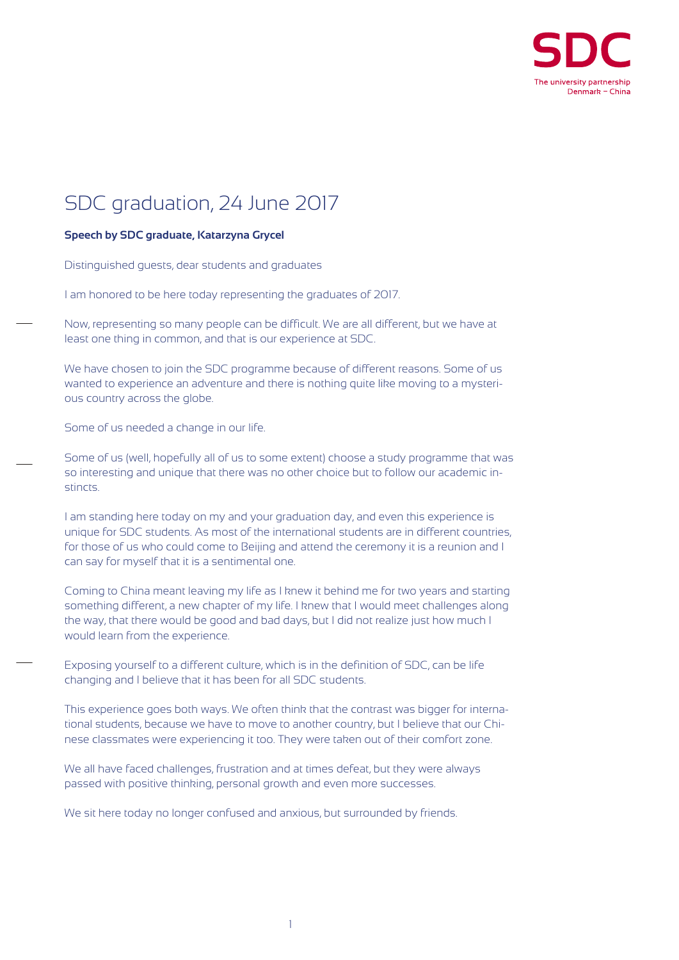

## SDC graduation, 24 June 2017

## **Speech by SDC graduate, Katarzyna Grycel**

Distinguished guests, dear students and graduates

I am honored to be here today representing the graduates of 2017.

Now, representing so many people can be difficult. We are all different, but we have at least one thing in common, and that is our experience at SDC.

We have chosen to join the SDC programme because of different reasons. Some of us wanted to experience an adventure and there is nothing quite like moving to a mysterious country across the globe.

Some of us needed a change in our life.

Some of us (well, hopefully all of us to some extent) choose a study programme that was so interesting and unique that there was no other choice but to follow our academic instincts.

I am standing here today on my and your graduation day, and even this experience is unique for SDC students. As most of the international students are in different countries, for those of us who could come to Beijing and attend the ceremony it is a reunion and I can say for myself that it is a sentimental one.

Coming to China meant leaving my life as I knew it behind me for two years and starting something different, a new chapter of my life. I knew that I would meet challenges along the way, that there would be good and bad days, but I did not realize just how much I would learn from the experience.

Exposing yourself to a different culture, which is in the definition of SDC, can be life changing and I believe that it has been for all SDC students.

This experience goes both ways. We often think that the contrast was bigger for international students, because we have to move to another country, but I believe that our Chinese classmates were experiencing it too. They were taken out of their comfort zone.

We all have faced challenges, frustration and at times defeat, but they were always passed with positive thinking, personal growth and even more successes.

We sit here today no longer confused and anxious, but surrounded by friends.